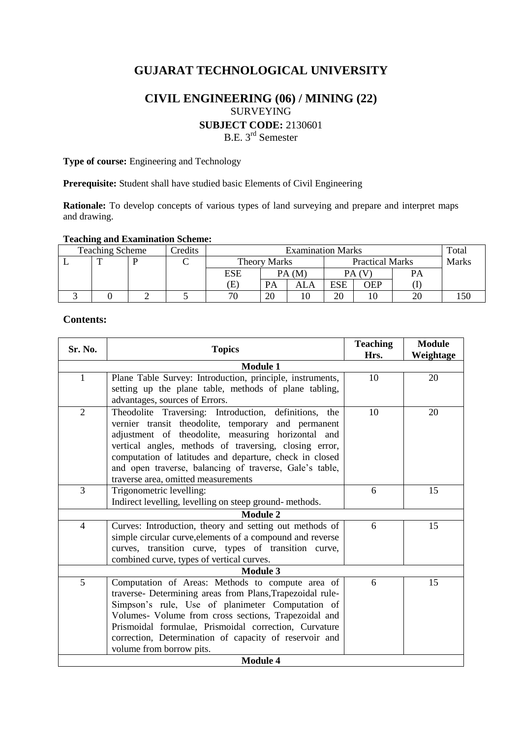# **GUJARAT TECHNOLOGICAL UNIVERSITY**

# **CIVIL ENGINEERING (06) / MINING (22)** SURVEYING **SUBJECT CODE:** 2130601 B.E. 3<sup>rd</sup> Semester

**Type of course:** Engineering and Technology

**Prerequisite:** Student shall have studied basic Elements of Civil Engineering

**Rationale:** To develop concepts of various types of land surveying and prepare and interpret maps and drawing.

## **Teaching and Examination Scheme:**

| <b>Teaching Scheme</b> |  |  | Credits | <b>Examination Marks</b>   |                |                        |            |     |       | Total |
|------------------------|--|--|---------|----------------------------|----------------|------------------------|------------|-----|-------|-------|
|                        |  |  |         | <b>Theory Marks</b>        |                | <b>Practical Marks</b> |            |     | Marks |       |
|                        |  |  |         | ESE                        |                | PA(M)                  |            |     | PA    |       |
|                        |  |  |         | $\left( \mathrm{E}\right)$ | <b>PA</b>      | ALA                    | <b>ESE</b> | OEP |       |       |
|                        |  |  |         | 70                         | $\Omega$<br>ZU |                        | 20         |     | 20    | l 50  |

## **Contents:**

| Sr. No.                  | <b>Topics</b>                                             | <b>Teaching</b><br>Hrs. | <b>Module</b><br>Weightage |  |  |  |  |
|--------------------------|-----------------------------------------------------------|-------------------------|----------------------------|--|--|--|--|
| <b>Module 1</b>          |                                                           |                         |                            |  |  |  |  |
| 1                        | Plane Table Survey: Introduction, principle, instruments, | 10                      | 20                         |  |  |  |  |
|                          | setting up the plane table, methods of plane tabling,     |                         |                            |  |  |  |  |
|                          | advantages, sources of Errors.                            |                         |                            |  |  |  |  |
| $\overline{2}$           | Theodolite Traversing: Introduction, definitions, the     | 10                      | 20                         |  |  |  |  |
|                          | vernier transit theodolite, temporary and permanent       |                         |                            |  |  |  |  |
|                          | adjustment of theodolite, measuring horizontal and        |                         |                            |  |  |  |  |
|                          | vertical angles, methods of traversing, closing error,    |                         |                            |  |  |  |  |
|                          | computation of latitudes and departure, check in closed   |                         |                            |  |  |  |  |
|                          | and open traverse, balancing of traverse, Gale's table,   |                         |                            |  |  |  |  |
|                          | traverse area, omitted measurements                       |                         |                            |  |  |  |  |
| 3                        | Trigonometric levelling:                                  | 6                       | 15                         |  |  |  |  |
|                          | Indirect levelling, levelling on steep ground-methods.    |                         |                            |  |  |  |  |
|                          | <b>Module 2</b>                                           |                         |                            |  |  |  |  |
| 4                        | Curves: Introduction, theory and setting out methods of   | 6                       | 15                         |  |  |  |  |
|                          | simple circular curve, elements of a compound and reverse |                         |                            |  |  |  |  |
|                          | curves, transition curve, types of transition curve,      |                         |                            |  |  |  |  |
|                          | combined curve, types of vertical curves.                 |                         |                            |  |  |  |  |
| <b>Module 3</b>          |                                                           |                         |                            |  |  |  |  |
| 5                        | Computation of Areas: Methods to compute area of          | 6                       | 15                         |  |  |  |  |
|                          | traverse- Determining areas from Plans, Trapezoidal rule- |                         |                            |  |  |  |  |
|                          | Simpson's rule, Use of planimeter Computation of          |                         |                            |  |  |  |  |
|                          | Volumes- Volume from cross sections, Trapezoidal and      |                         |                            |  |  |  |  |
|                          | Prismoidal formulae, Prismoidal correction, Curvature     |                         |                            |  |  |  |  |
|                          | correction, Determination of capacity of reservoir and    |                         |                            |  |  |  |  |
| volume from borrow pits. |                                                           |                         |                            |  |  |  |  |
| <b>Module 4</b>          |                                                           |                         |                            |  |  |  |  |